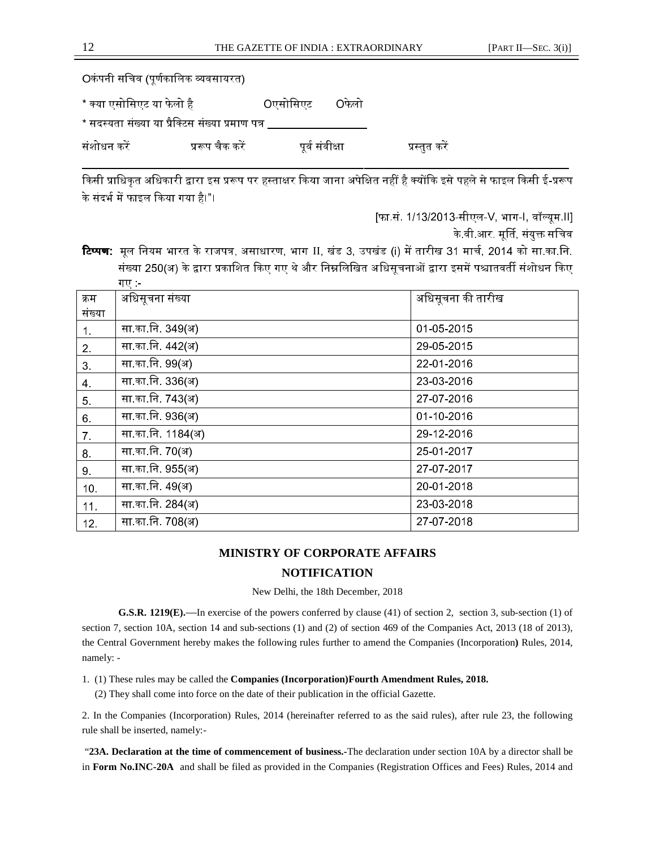# **MINISTRY OF CORPORATE AFFAIRS**

## **NOTIFICATION**

New Delhi, the 18th December, 2018

**G.S.R. 1219(E).**—In exercise of the powers conferred by clause (41) of section 2, section 3, sub-section (1) of section 7, section 10A, section 14 and sub-sections (1) and (2) of section 469 of the Companies Act, 2013 (18 of 2013), the Central Government hereby makes the following rules further to amend the Companies (Incorporation**)** Rules, 2014, namely: -

1. (1) These rules may be called the **Companies (Incorporation)Fourth Amendment Rules, 2018.**  (2) They shall come into force on the date of their publication in the official Gazette.

2. In the Companies (Incorporation) Rules, 2014 (hereinafter referred to as the said rules), after rule 23, the following rule shall be inserted, namely:-

 "**23A. Declaration at the time of commencement of business.-**The declaration under section 10A by a director shall be in **Form No.INC-20A** and shall be filed as provided in the Companies (Registration Offices and Fees) Rules, 2014 and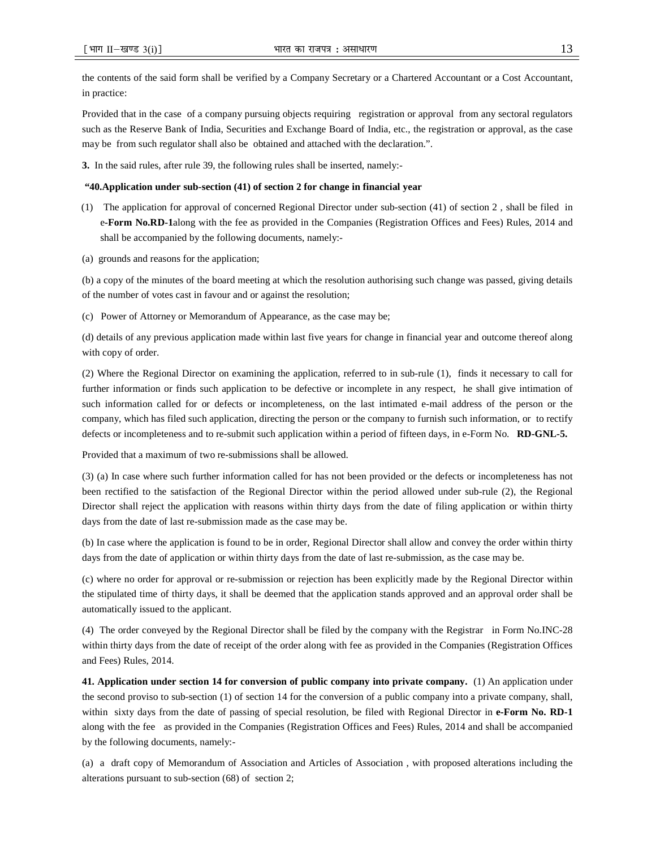the contents of the said form shall be verified by a Company Secretary or a Chartered Accountant or a Cost Accountant, in practice:

Provided that in the case of a company pursuing objects requiring registration or approval from any sectoral regulators such as the Reserve Bank of India, Securities and Exchange Board of India, etc., the registration or approval, as the case may be from such regulator shall also be obtained and attached with the declaration.".

**3.** In the said rules, after rule 39, the following rules shall be inserted, namely:-

#### **"40.Application under sub-section (41) of section 2 for change in financial year**

- (1) The application for approval of concerned Regional Director under sub-section (41) of section 2 , shall be filed in e**-Form No.RD-1**along with the fee as provided in the Companies (Registration Offices and Fees) Rules, 2014 and shall be accompanied by the following documents, namely:-
- (a) grounds and reasons for the application;

(b) a copy of the minutes of the board meeting at which the resolution authorising such change was passed, giving details of the number of votes cast in favour and or against the resolution;

(c) Power of Attorney or Memorandum of Appearance, as the case may be;

(d) details of any previous application made within last five years for change in financial year and outcome thereof along with copy of order.

(2) Where the Regional Director on examining the application, referred to in sub-rule (1), finds it necessary to call for further information or finds such application to be defective or incomplete in any respect, he shall give intimation of such information called for or defects or incompleteness, on the last intimated e-mail address of the person or the company, which has filed such application, directing the person or the company to furnish such information, or to rectify defects or incompleteness and to re-submit such application within a period of fifteen days, in e-Form No. **RD-GNL-5.** 

Provided that a maximum of two re-submissions shall be allowed.

(3) (a) In case where such further information called for has not been provided or the defects or incompleteness has not been rectified to the satisfaction of the Regional Director within the period allowed under sub-rule (2), the Regional Director shall reject the application with reasons within thirty days from the date of filing application or within thirty days from the date of last re-submission made as the case may be.

(b) In case where the application is found to be in order, Regional Director shall allow and convey the order within thirty days from the date of application or within thirty days from the date of last re-submission, as the case may be.

(c) where no order for approval or re-submission or rejection has been explicitly made by the Regional Director within the stipulated time of thirty days, it shall be deemed that the application stands approved and an approval order shall be automatically issued to the applicant.

(4) The order conveyed by the Regional Director shall be filed by the company with the Registrar in Form No.INC-28 within thirty days from the date of receipt of the order along with fee as provided in the Companies (Registration Offices and Fees) Rules, 2014.

**41. Application under section 14 for conversion of public company into private company.** (1) An application under the second proviso to sub-section (1) of section 14 for the conversion of a public company into a private company, shall, within sixty days from the date of passing of special resolution, be filed with Regional Director in **e-Form No. RD-1**  along with the fee as provided in the Companies (Registration Offices and Fees) Rules, 2014 and shall be accompanied by the following documents, namely:-

(a) a draft copy of Memorandum of Association and Articles of Association , with proposed alterations including the alterations pursuant to sub-section (68) of section 2;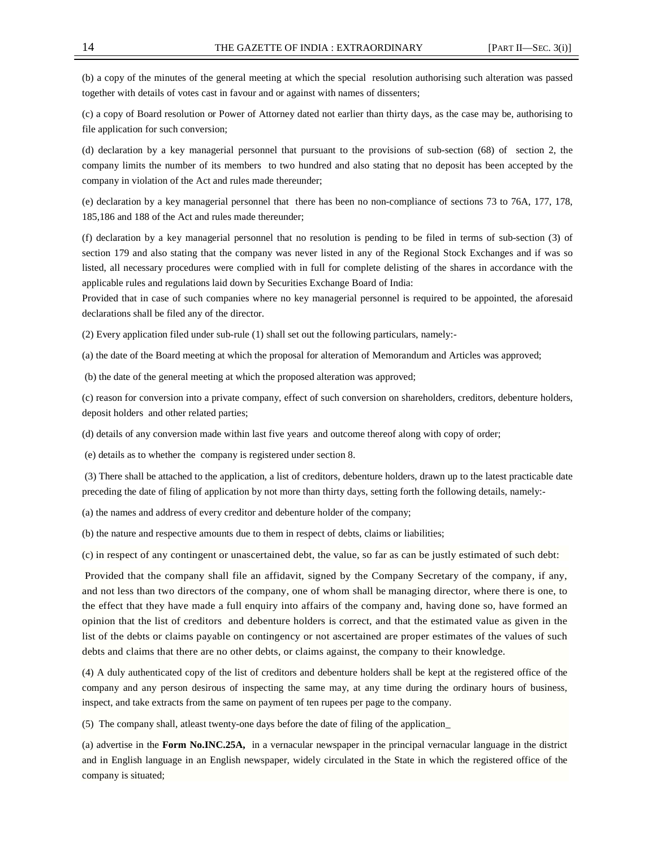(b) a copy of the minutes of the general meeting at which the special resolution authorising such alteration was passed together with details of votes cast in favour and or against with names of dissenters;

(c) a copy of Board resolution or Power of Attorney dated not earlier than thirty days, as the case may be, authorising to file application for such conversion;

(d) declaration by a key managerial personnel that pursuant to the provisions of sub-section (68) of section 2, the company limits the number of its members to two hundred and also stating that no deposit has been accepted by the company in violation of the Act and rules made thereunder;

(e) declaration by a key managerial personnel that there has been no non-compliance of sections 73 to 76A, 177, 178, 185,186 and 188 of the Act and rules made thereunder;

(f) declaration by a key managerial personnel that no resolution is pending to be filed in terms of sub-section (3) of section 179 and also stating that the company was never listed in any of the Regional Stock Exchanges and if was so listed, all necessary procedures were complied with in full for complete delisting of the shares in accordance with the applicable rules and regulations laid down by Securities Exchange Board of India:

Provided that in case of such companies where no key managerial personnel is required to be appointed, the aforesaid declarations shall be filed any of the director.

(2) Every application filed under sub-rule (1) shall set out the following particulars, namely:-

(a) the date of the Board meeting at which the proposal for alteration of Memorandum and Articles was approved;

(b) the date of the general meeting at which the proposed alteration was approved;

(c) reason for conversion into a private company, effect of such conversion on shareholders, creditors, debenture holders, deposit holders and other related parties;

(d) details of any conversion made within last five years and outcome thereof along with copy of order;

(e) details as to whether the company is registered under section 8.

 (3) There shall be attached to the application, a list of creditors, debenture holders, drawn up to the latest practicable date preceding the date of filing of application by not more than thirty days, setting forth the following details, namely:-

(a) the names and address of every creditor and debenture holder of the company;

(b) the nature and respective amounts due to them in respect of debts, claims or liabilities;

(c) in respect of any contingent or unascertained debt, the value, so far as can be justly estimated of such debt:

 Provided that the company shall file an affidavit, signed by the Company Secretary of the company, if any, and not less than two directors of the company, one of whom shall be managing director, where there is one, to the effect that they have made a full enquiry into affairs of the company and, having done so, have formed an opinion that the list of creditors and debenture holders is correct, and that the estimated value as given in the list of the debts or claims payable on contingency or not ascertained are proper estimates of the values of such debts and claims that there are no other debts, or claims against, the company to their knowledge.

(4) A duly authenticated copy of the list of creditors and debenture holders shall be kept at the registered office of the company and any person desirous of inspecting the same may, at any time during the ordinary hours of business, inspect, and take extracts from the same on payment of ten rupees per page to the company.

(5) The company shall, atleast twenty-one days before the date of filing of the application\_

(a) advertise in the **Form No.INC.25A,** in a vernacular newspaper in the principal vernacular language in the district and in English language in an English newspaper, widely circulated in the State in which the registered office of the company is situated;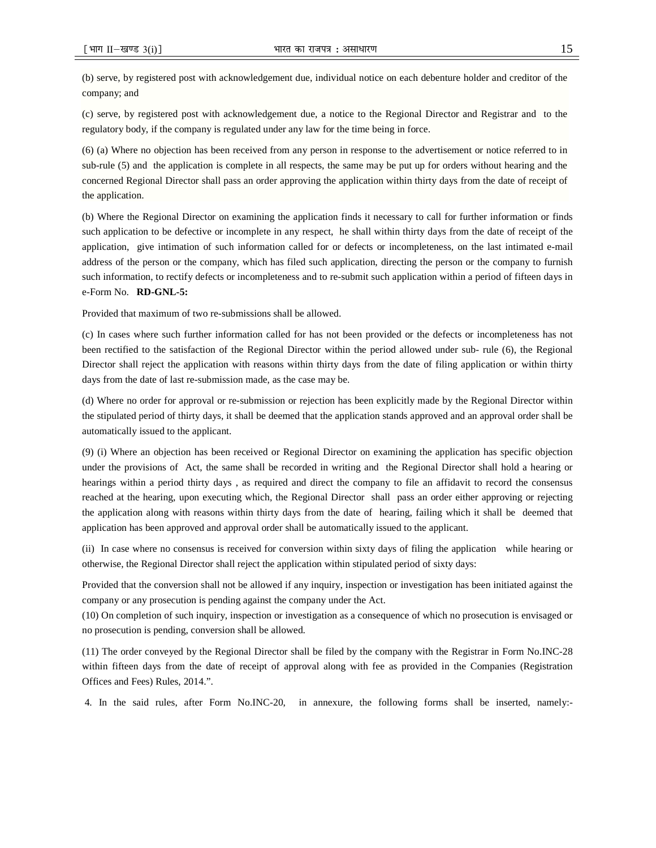(b) serve, by registered post with acknowledgement due, individual notice on each debenture holder and creditor of the company; and

(c) serve, by registered post with acknowledgement due, a notice to the Regional Director and Registrar and to the regulatory body, if the company is regulated under any law for the time being in force.

(6) (a) Where no objection has been received from any person in response to the advertisement or notice referred to in sub-rule (5) and the application is complete in all respects, the same may be put up for orders without hearing and the concerned Regional Director shall pass an order approving the application within thirty days from the date of receipt of the application.

(b) Where the Regional Director on examining the application finds it necessary to call for further information or finds such application to be defective or incomplete in any respect, he shall within thirty days from the date of receipt of the application, give intimation of such information called for or defects or incompleteness, on the last intimated e-mail address of the person or the company, which has filed such application, directing the person or the company to furnish such information, to rectify defects or incompleteness and to re-submit such application within a period of fifteen days in e-Form No. **RD-GNL-5:** 

Provided that maximum of two re-submissions shall be allowed.

(c) In cases where such further information called for has not been provided or the defects or incompleteness has not been rectified to the satisfaction of the Regional Director within the period allowed under sub- rule (6), the Regional Director shall reject the application with reasons within thirty days from the date of filing application or within thirty days from the date of last re-submission made, as the case may be.

(d) Where no order for approval or re-submission or rejection has been explicitly made by the Regional Director within the stipulated period of thirty days, it shall be deemed that the application stands approved and an approval order shall be automatically issued to the applicant.

(9) (i) Where an objection has been received or Regional Director on examining the application has specific objection under the provisions of Act, the same shall be recorded in writing and the Regional Director shall hold a hearing or hearings within a period thirty days , as required and direct the company to file an affidavit to record the consensus reached at the hearing, upon executing which, the Regional Director shall pass an order either approving or rejecting the application along with reasons within thirty days from the date of hearing, failing which it shall be deemed that application has been approved and approval order shall be automatically issued to the applicant.

(ii) In case where no consensus is received for conversion within sixty days of filing the application while hearing or otherwise, the Regional Director shall reject the application within stipulated period of sixty days:

Provided that the conversion shall not be allowed if any inquiry, inspection or investigation has been initiated against the company or any prosecution is pending against the company under the Act.

(10) On completion of such inquiry, inspection or investigation as a consequence of which no prosecution is envisaged or no prosecution is pending, conversion shall be allowed.

(11) The order conveyed by the Regional Director shall be filed by the company with the Registrar in Form No.INC-28 within fifteen days from the date of receipt of approval along with fee as provided in the Companies (Registration Offices and Fees) Rules, 2014.".

4. In the said rules, after Form No.INC-20, in annexure, the following forms shall be inserted, namely:-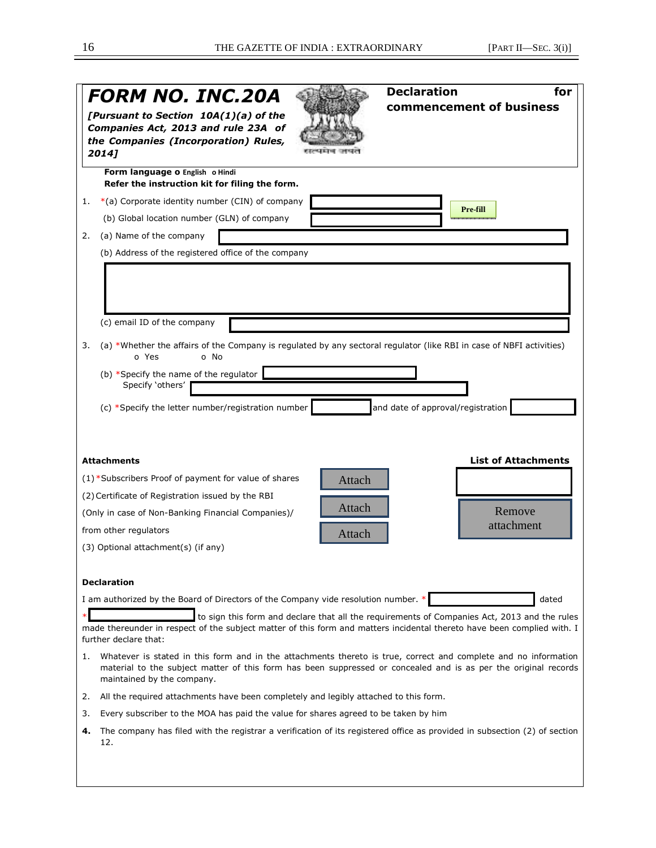|                                                                                                                                                                                                                                                                                                                                                 | <b>Declaration</b><br>for<br>FORM NO. INC.20A<br>commencement of business<br>[Pursuant to Section 10A(1)(a) of the<br>Companies Act, 2013 and rule 23A of<br>the Companies (Incorporation) Rules,<br>2014]                                                             |  |  |
|-------------------------------------------------------------------------------------------------------------------------------------------------------------------------------------------------------------------------------------------------------------------------------------------------------------------------------------------------|------------------------------------------------------------------------------------------------------------------------------------------------------------------------------------------------------------------------------------------------------------------------|--|--|
|                                                                                                                                                                                                                                                                                                                                                 | Form language o English o Hindi<br>Refer the instruction kit for filing the form.                                                                                                                                                                                      |  |  |
| 1.                                                                                                                                                                                                                                                                                                                                              | $*(a)$ Corporate identity number (CIN) of company                                                                                                                                                                                                                      |  |  |
|                                                                                                                                                                                                                                                                                                                                                 | Pre-fill<br>(b) Global location number (GLN) of company                                                                                                                                                                                                                |  |  |
| 2.                                                                                                                                                                                                                                                                                                                                              | (a) Name of the company                                                                                                                                                                                                                                                |  |  |
|                                                                                                                                                                                                                                                                                                                                                 | (b) Address of the registered office of the company                                                                                                                                                                                                                    |  |  |
|                                                                                                                                                                                                                                                                                                                                                 | (c) email ID of the company                                                                                                                                                                                                                                            |  |  |
| 3.                                                                                                                                                                                                                                                                                                                                              | (a) *Whether the affairs of the Company is regulated by any sectoral regulator (like RBI in case of NBFI activities)<br>o Yes<br>o No                                                                                                                                  |  |  |
|                                                                                                                                                                                                                                                                                                                                                 | (b) *Specify the name of the regulator<br>Specify 'others'                                                                                                                                                                                                             |  |  |
|                                                                                                                                                                                                                                                                                                                                                 | (c) *Specify the letter number/registration number<br>and date of approval/registration                                                                                                                                                                                |  |  |
|                                                                                                                                                                                                                                                                                                                                                 | <b>List of Attachments</b><br><b>Attachments</b><br>(1) *Subscribers Proof of payment for value of shares<br>Attach                                                                                                                                                    |  |  |
|                                                                                                                                                                                                                                                                                                                                                 | (2) Certificate of Registration issued by the RBI                                                                                                                                                                                                                      |  |  |
|                                                                                                                                                                                                                                                                                                                                                 | Attach<br>Remove<br>(Only in case of Non-Banking Financial Companies)/                                                                                                                                                                                                 |  |  |
|                                                                                                                                                                                                                                                                                                                                                 | attachment<br>from other regulators<br>Attach                                                                                                                                                                                                                          |  |  |
|                                                                                                                                                                                                                                                                                                                                                 | (3) Optional attachment(s) (if any)                                                                                                                                                                                                                                    |  |  |
|                                                                                                                                                                                                                                                                                                                                                 | <b>Declaration</b>                                                                                                                                                                                                                                                     |  |  |
| I am authorized by the Board of Directors of the Company vide resolution number. *<br>dated<br>to sign this form and declare that all the requirements of Companies Act, 2013 and the rules<br>made thereunder in respect of the subject matter of this form and matters incidental thereto have been complied with. I<br>further declare that: |                                                                                                                                                                                                                                                                        |  |  |
|                                                                                                                                                                                                                                                                                                                                                 | Whatever is stated in this form and in the attachments thereto is true, correct and complete and no information<br>1.<br>material to the subject matter of this form has been suppressed or concealed and is as per the original records<br>maintained by the company. |  |  |
| 2.                                                                                                                                                                                                                                                                                                                                              | All the required attachments have been completely and legibly attached to this form.                                                                                                                                                                                   |  |  |
| 3.                                                                                                                                                                                                                                                                                                                                              | Every subscriber to the MOA has paid the value for shares agreed to be taken by him                                                                                                                                                                                    |  |  |
| 4.                                                                                                                                                                                                                                                                                                                                              | The company has filed with the registrar a verification of its registered office as provided in subsection (2) of section<br>12.                                                                                                                                       |  |  |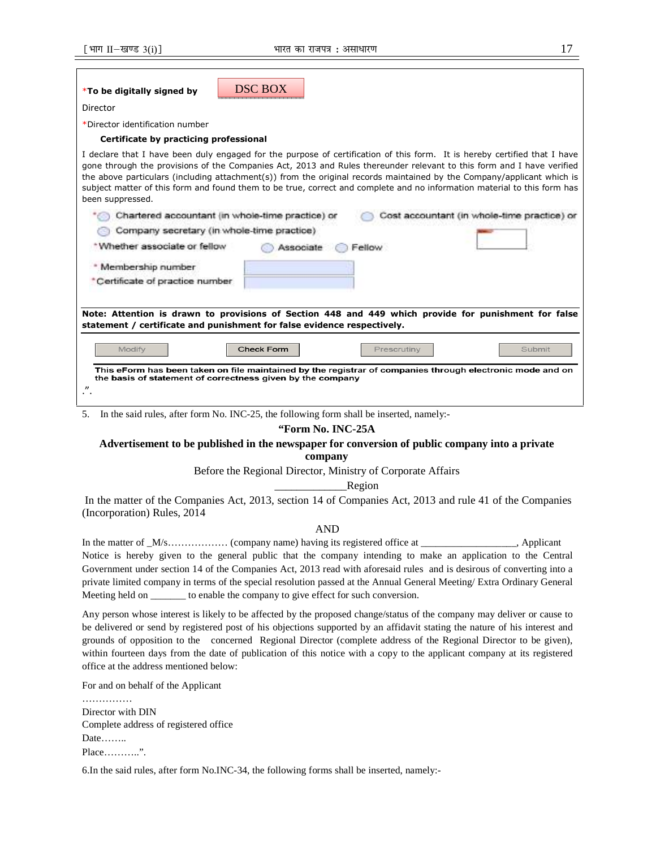| <b>DSC BOX</b><br>*To be digitally signed by                                                                                                                                                                                                                                                                                                                                                                                                                                                                                 |  |  |
|------------------------------------------------------------------------------------------------------------------------------------------------------------------------------------------------------------------------------------------------------------------------------------------------------------------------------------------------------------------------------------------------------------------------------------------------------------------------------------------------------------------------------|--|--|
| Director                                                                                                                                                                                                                                                                                                                                                                                                                                                                                                                     |  |  |
| *Director identification number                                                                                                                                                                                                                                                                                                                                                                                                                                                                                              |  |  |
| Certificate by practicing professional                                                                                                                                                                                                                                                                                                                                                                                                                                                                                       |  |  |
| I declare that I have been duly engaged for the purpose of certification of this form. It is hereby certified that I have<br>gone through the provisions of the Companies Act, 2013 and Rules thereunder relevant to this form and I have verified<br>the above particulars (including attachment(s)) from the original records maintained by the Company/applicant which is<br>subject matter of this form and found them to be true, correct and complete and no information material to this form has<br>been suppressed. |  |  |
| Chartered accountant (in whole-time practice) or<br>Cost accountant (in whole-time practice) or                                                                                                                                                                                                                                                                                                                                                                                                                              |  |  |
| Company secretary (in whole-time practice)                                                                                                                                                                                                                                                                                                                                                                                                                                                                                   |  |  |
| *Whether associate or fellow<br>Fellow<br>Associate                                                                                                                                                                                                                                                                                                                                                                                                                                                                          |  |  |
| * Membership number                                                                                                                                                                                                                                                                                                                                                                                                                                                                                                          |  |  |
| *Certificate of practice number                                                                                                                                                                                                                                                                                                                                                                                                                                                                                              |  |  |
|                                                                                                                                                                                                                                                                                                                                                                                                                                                                                                                              |  |  |
| Note: Attention is drawn to provisions of Section 448 and 449 which provide for punishment for false<br>statement / certificate and punishment for false evidence respectively.                                                                                                                                                                                                                                                                                                                                              |  |  |
| <b>Check Form</b><br>Modify<br>Prescrutiny<br>Submit                                                                                                                                                                                                                                                                                                                                                                                                                                                                         |  |  |
| This eForm has been taken on file maintained by the registrar of companies through electronic mode and on<br>the basis of statement of correctness given by the company                                                                                                                                                                                                                                                                                                                                                      |  |  |
| $^{\prime\prime}$                                                                                                                                                                                                                                                                                                                                                                                                                                                                                                            |  |  |
|                                                                                                                                                                                                                                                                                                                                                                                                                                                                                                                              |  |  |

5. In the said rules, after form No. INC-25, the following form shall be inserted, namely:-

## **"Form No. INC-25A**

## **Advertisement to be published in the newspaper for conversion of public company into a private company**

Before the Regional Director, Ministry of Corporate Affairs

\_\_\_\_\_\_\_\_\_\_\_\_\_Region

 In the matter of the Companies Act, 2013, section 14 of Companies Act, 2013 and rule 41 of the Companies (Incorporation) Rules, 2014

## AND

In the matter of \_M/s………………… (company name) having its registered office at \_\_\_\_\_\_\_\_\_\_\_\_\_\_\_, Applicant Notice is hereby given to the general public that the company intending to make an application to the Central Government under section 14 of the Companies Act, 2013 read with aforesaid rules and is desirous of converting into a private limited company in terms of the special resolution passed at the Annual General Meeting/ Extra Ordinary General Meeting held on \_\_\_\_\_\_\_ to enable the company to give effect for such conversion.

Any person whose interest is likely to be affected by the proposed change/status of the company may deliver or cause to be delivered or send by registered post of his objections supported by an affidavit stating the nature of his interest and grounds of opposition to the concerned Regional Director (complete address of the Regional Director to be given), within fourteen days from the date of publication of this notice with a copy to the applicant company at its registered office at the address mentioned below:

For and on behalf of the Applicant

……………… Director with DIN Complete address of registered office Date…….. Place………..".

6.In the said rules, after form No.INC-34, the following forms shall be inserted, namely:-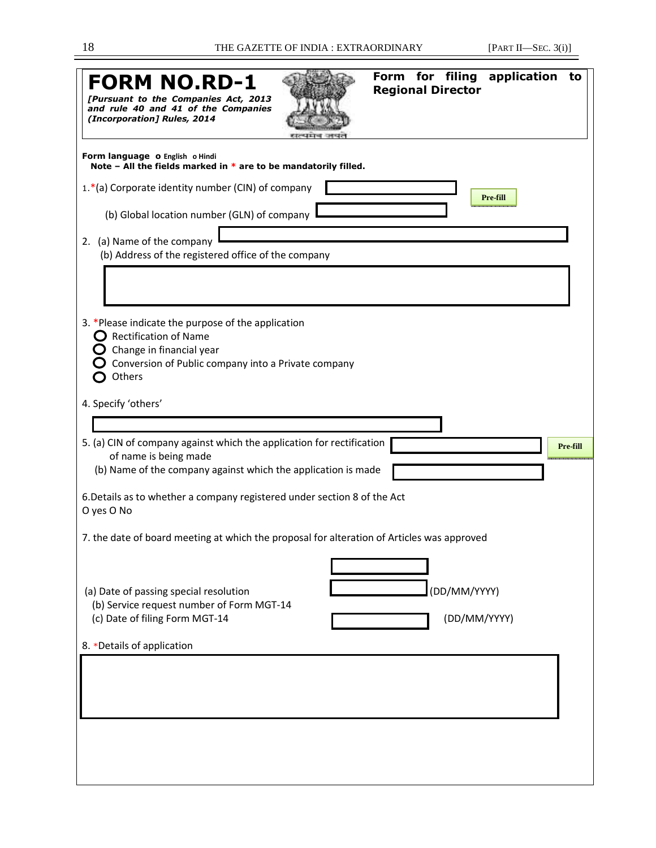| Form for filing<br>application<br>to<br><b>FORM NO.RD-1</b><br><b>Regional Director</b><br>[Pursuant to the Companies Act, 2013]<br>and rule 40 and 41 of the Companies<br>(Incorporation] Rules, 2014 |  |  |
|--------------------------------------------------------------------------------------------------------------------------------------------------------------------------------------------------------|--|--|
| Form language o English o Hindi<br>Note - All the fields marked in $*$ are to be mandatorily filled.                                                                                                   |  |  |
| 1.*(a) Corporate identity number (CIN) of company<br>Pre-fill                                                                                                                                          |  |  |
| (b) Global location number (GLN) of company                                                                                                                                                            |  |  |
| 2. (a) Name of the company<br>(b) Address of the registered office of the company                                                                                                                      |  |  |
| 3. *Please indicate the purpose of the application<br><b>Rectification of Name</b><br>Change in financial year<br>Conversion of Public company into a Private company<br>Others                        |  |  |
| 4. Specify 'others'                                                                                                                                                                                    |  |  |
|                                                                                                                                                                                                        |  |  |
| 5. (a) CIN of company against which the application for rectification<br>Pre-fill<br>of name is being made<br>(b) Name of the company against which the application is made                            |  |  |
| 6. Details as to whether a company registered under section 8 of the Act<br>O yes O No                                                                                                                 |  |  |
| 7. the date of board meeting at which the proposal for alteration of Articles was approved                                                                                                             |  |  |
|                                                                                                                                                                                                        |  |  |
| (DD/MM/YYYY)<br>(a) Date of passing special resolution                                                                                                                                                 |  |  |
| (b) Service request number of Form MGT-14<br>(c) Date of filing Form MGT-14<br>(DD/MM/YYYY)                                                                                                            |  |  |
| 8. *Details of application                                                                                                                                                                             |  |  |
|                                                                                                                                                                                                        |  |  |
|                                                                                                                                                                                                        |  |  |
|                                                                                                                                                                                                        |  |  |
|                                                                                                                                                                                                        |  |  |
|                                                                                                                                                                                                        |  |  |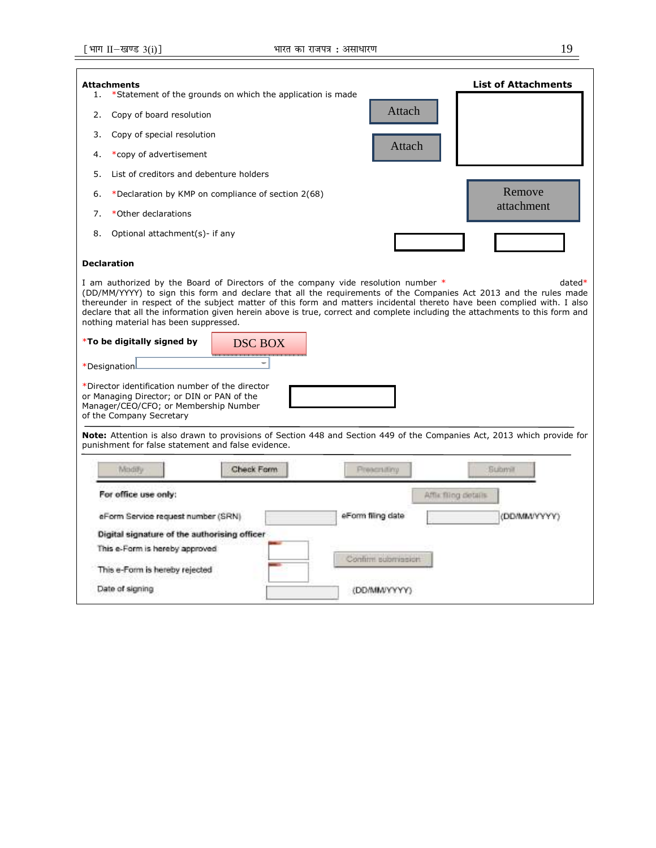| <b>Attachments</b><br>1.<br>*Statement of the grounds on which the application is made                                                                                                                                                                                                                                                                                                                                                                                                                                   | <b>List of Attachments</b>        |  |  |
|--------------------------------------------------------------------------------------------------------------------------------------------------------------------------------------------------------------------------------------------------------------------------------------------------------------------------------------------------------------------------------------------------------------------------------------------------------------------------------------------------------------------------|-----------------------------------|--|--|
| 2.<br>Copy of board resolution                                                                                                                                                                                                                                                                                                                                                                                                                                                                                           | Attach                            |  |  |
| Copy of special resolution<br>3.                                                                                                                                                                                                                                                                                                                                                                                                                                                                                         |                                   |  |  |
| *copy of advertisement<br>4.                                                                                                                                                                                                                                                                                                                                                                                                                                                                                             | Attach                            |  |  |
| List of creditors and debenture holders<br>.5.                                                                                                                                                                                                                                                                                                                                                                                                                                                                           |                                   |  |  |
| *Declaration by KMP on compliance of section 2(68)<br>6.                                                                                                                                                                                                                                                                                                                                                                                                                                                                 | Remove                            |  |  |
| *Other declarations<br>7.                                                                                                                                                                                                                                                                                                                                                                                                                                                                                                | attachment                        |  |  |
| 8.<br>Optional attachment(s)- if any                                                                                                                                                                                                                                                                                                                                                                                                                                                                                     |                                   |  |  |
| <b>Declaration</b>                                                                                                                                                                                                                                                                                                                                                                                                                                                                                                       |                                   |  |  |
| I am authorized by the Board of Directors of the company vide resolution number *<br>$datated*$<br>(DD/MM/YYYY) to sign this form and declare that all the requirements of the Companies Act 2013 and the rules made<br>thereunder in respect of the subject matter of this form and matters incidental thereto have been complied with. I also<br>declare that all the information given herein above is true, correct and complete including the attachments to this form and<br>nothing material has been suppressed. |                                   |  |  |
| *To be digitally signed by<br><b>DSC BOX</b>                                                                                                                                                                                                                                                                                                                                                                                                                                                                             |                                   |  |  |
| *Designation                                                                                                                                                                                                                                                                                                                                                                                                                                                                                                             |                                   |  |  |
| *Director identification number of the director<br>or Managing Director; or DIN or PAN of the<br>Manager/CEO/CFO; or Membership Number<br>of the Company Secretary                                                                                                                                                                                                                                                                                                                                                       |                                   |  |  |
| Note: Attention is also drawn to provisions of Section 448 and Section 449 of the Companies Act, 2013 which provide for<br>punishment for false statement and false evidence.                                                                                                                                                                                                                                                                                                                                            |                                   |  |  |
| Check Form<br>Modify                                                                                                                                                                                                                                                                                                                                                                                                                                                                                                     | Prescruting<br><b>Submit</b>      |  |  |
| For office use only:<br>Affix filing details                                                                                                                                                                                                                                                                                                                                                                                                                                                                             |                                   |  |  |
| eForm Service request number (SRN)                                                                                                                                                                                                                                                                                                                                                                                                                                                                                       | eForm filing date<br>(DD/MM/VYYYY |  |  |
| Digital signature of the authorising officer                                                                                                                                                                                                                                                                                                                                                                                                                                                                             |                                   |  |  |
| This e-Form is hereby approved                                                                                                                                                                                                                                                                                                                                                                                                                                                                                           | Confirm submission                |  |  |
| This e-Form is hereby rejected                                                                                                                                                                                                                                                                                                                                                                                                                                                                                           |                                   |  |  |
| Date of signing                                                                                                                                                                                                                                                                                                                                                                                                                                                                                                          | <b>(DD/MM/VYYYY</b>               |  |  |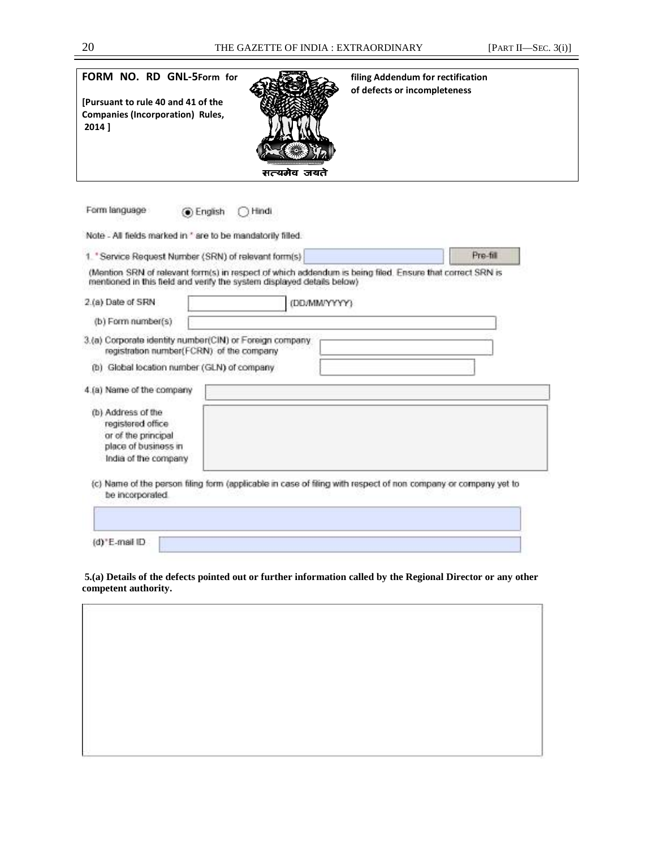| FORM NO. RD GNL-5Form for<br>[Pursuant to rule 40 and 41 of the<br>Companies (Incorporation) Rules,<br>2014 1  | filing Addendum for rectification<br>of defects or incompleteness<br>सत्यमेव जयते                              |
|----------------------------------------------------------------------------------------------------------------|----------------------------------------------------------------------------------------------------------------|
| Form language<br>Hindi<br><b>O</b> English                                                                     |                                                                                                                |
| Note - All fields marked in * are to be mandatorily filled.                                                    |                                                                                                                |
| 1. 'Service Request Number (SRN) of relevant form(s)                                                           | Pre-fill                                                                                                       |
| mentioned in this field and verify the system displayed details below)                                         | (Mention SRN of relevant form(s) in respect of which addendum is baing filed. Ensure that correct SRN is       |
| 2.(a) Date of SRN                                                                                              | (DD/MM/YYYYY)                                                                                                  |
| (b) Form number(s)                                                                                             |                                                                                                                |
| 3.(a) Corporate identity number(CIN) or Foreign company.<br>registration number(FCRN) of the company           |                                                                                                                |
| (b) Global location number (GLN) of company                                                                    |                                                                                                                |
| 4.(a) Name of the company                                                                                      |                                                                                                                |
| (b) Address of the<br>registered office<br>or of the principal<br>place of business in<br>India of the company |                                                                                                                |
| be incorporated.                                                                                               | (c) Name of the person filing form (applicable in case of filing with respect of non company or company yet to |
|                                                                                                                |                                                                                                                |
| (d) E-mail ID                                                                                                  |                                                                                                                |

 **5.(a) Details of the defects pointed out or further information called by the Regional Director or any other competent authority.** 

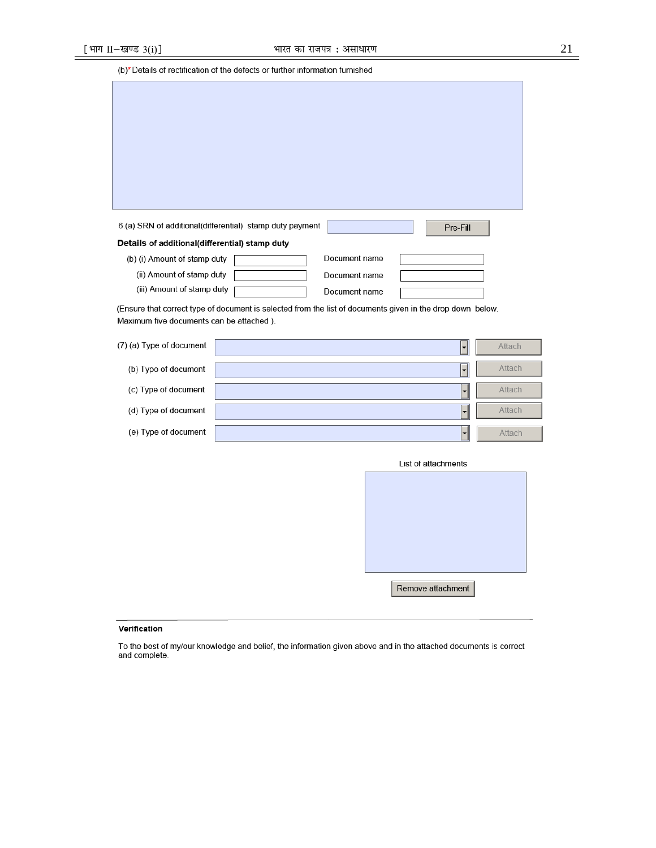(b)\* Details of rectification of the defects or further information furnished

| 6.(a) SRN of additional(differential) stamp duty payment | Pre-Fill      |  |  |  |
|----------------------------------------------------------|---------------|--|--|--|
| Details of additional(differential) stamp duty           |               |  |  |  |
| (b) (i) Amount of stamp duty                             | Document name |  |  |  |
| (ii) Amount of stamp duty                                | Document name |  |  |  |
| (iii) Amount of stamp duty                               | Document name |  |  |  |
|                                                          |               |  |  |  |

(Ensure that correct type of document is selected from the list of documents given in the drop down below. Maximum five documents can be attached).

| (7) (a) Type of document | $\overline{\phantom{0}}$ | Attach |
|--------------------------|--------------------------|--------|
| (b) Type of document     | $\overline{\phantom{a}}$ | Attach |
| (c) Type of document     | ▼                        | Attach |
| (d) Type of document     | $\overline{\phantom{0}}$ | Attach |
| (e) Type of document     | ▼                        | Attach |

| List of attachments |  |
|---------------------|--|
|                     |  |
|                     |  |
|                     |  |
|                     |  |
|                     |  |
|                     |  |
| Remove attachment   |  |

### Verification

To the best of my/our knowledge and belief, the information given above and in the attached documents is correct<br>and complete.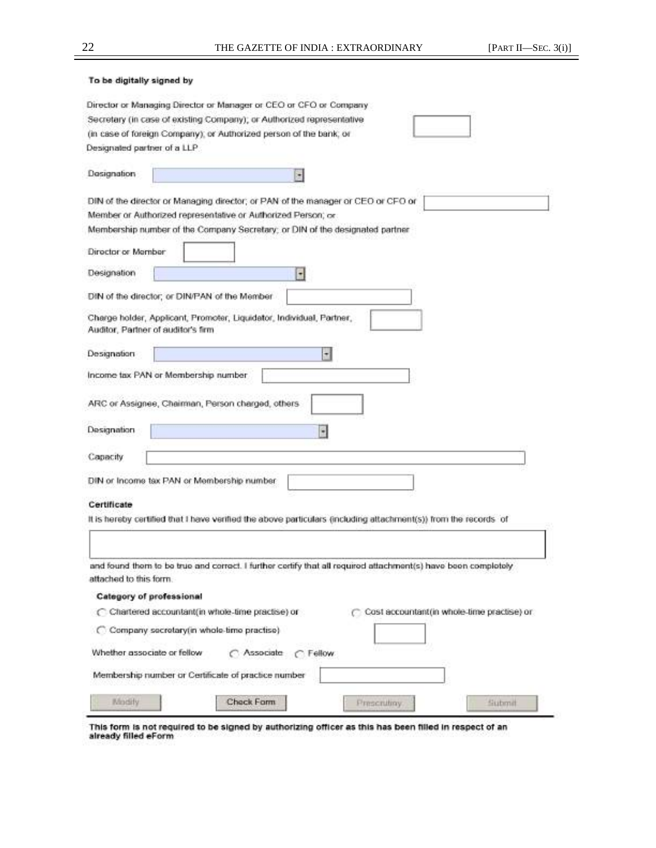| To be digitally signed by                                                                          |                                                                                                                 |  |  |
|----------------------------------------------------------------------------------------------------|-----------------------------------------------------------------------------------------------------------------|--|--|
|                                                                                                    | Director or Managing Director or Manager or CEO or CFO or Company                                               |  |  |
|                                                                                                    | Secretary (in case of existing Company); or Authorized representative                                           |  |  |
|                                                                                                    | (in case of foreign Company), or Authorized person of the bank, or                                              |  |  |
| Designated partner of a LLP                                                                        |                                                                                                                 |  |  |
|                                                                                                    |                                                                                                                 |  |  |
| Designation                                                                                        | ۰                                                                                                               |  |  |
|                                                                                                    | DIN of the director or Managing director; or PAN of the manager or CEO or CFO or                                |  |  |
|                                                                                                    | Member or Authorized representative or Authorized Person; or                                                    |  |  |
|                                                                                                    | Membership number of the Company Secretary; or DIN of the designated partner                                    |  |  |
| Director or Member                                                                                 |                                                                                                                 |  |  |
| Designation                                                                                        | ۰                                                                                                               |  |  |
|                                                                                                    | DIN of the director; or DIN/PAN of the Member                                                                   |  |  |
|                                                                                                    |                                                                                                                 |  |  |
|                                                                                                    | Charge holder, Applicant, Promoter, Liquidator, Individual, Partner,<br>Auditor, Partner of auditor's firm      |  |  |
|                                                                                                    |                                                                                                                 |  |  |
| Designation                                                                                        | $\cdot$                                                                                                         |  |  |
|                                                                                                    | Income tax PAN or Membership number                                                                             |  |  |
|                                                                                                    |                                                                                                                 |  |  |
|                                                                                                    | ARC or Assignee, Chairman, Person charged, others                                                               |  |  |
|                                                                                                    |                                                                                                                 |  |  |
| Designation                                                                                        | ۷                                                                                                               |  |  |
| Capacity                                                                                           |                                                                                                                 |  |  |
|                                                                                                    |                                                                                                                 |  |  |
|                                                                                                    | DIN or Income tax PAN or Membership number                                                                      |  |  |
| Certificate                                                                                        |                                                                                                                 |  |  |
|                                                                                                    | It is hereby certified that I have verified the above particulars (including attachment(s)) from the records of |  |  |
|                                                                                                    |                                                                                                                 |  |  |
|                                                                                                    |                                                                                                                 |  |  |
|                                                                                                    | and found them to be true and correct. I further certify that all required attachment(s) have been completely   |  |  |
| attached to this form.                                                                             |                                                                                                                 |  |  |
| Category of professional                                                                           |                                                                                                                 |  |  |
| C Cost accountant (in whole-time practise) or<br>C Chartered accountant(in whole-time practise) or |                                                                                                                 |  |  |
|                                                                                                    |                                                                                                                 |  |  |
| C Company secretary(in whole-time practise)                                                        |                                                                                                                 |  |  |
| Whether associate or fellow                                                                        | C Associate C Fellow                                                                                            |  |  |
|                                                                                                    | Membership number or Certificate of practice number                                                             |  |  |
| Modify                                                                                             | Check Form<br>Prescrutiny<br>Submit                                                                             |  |  |
|                                                                                                    |                                                                                                                 |  |  |

This form is not required to be signed by authorizing officer as this has been filled in respect of an already filled eForm